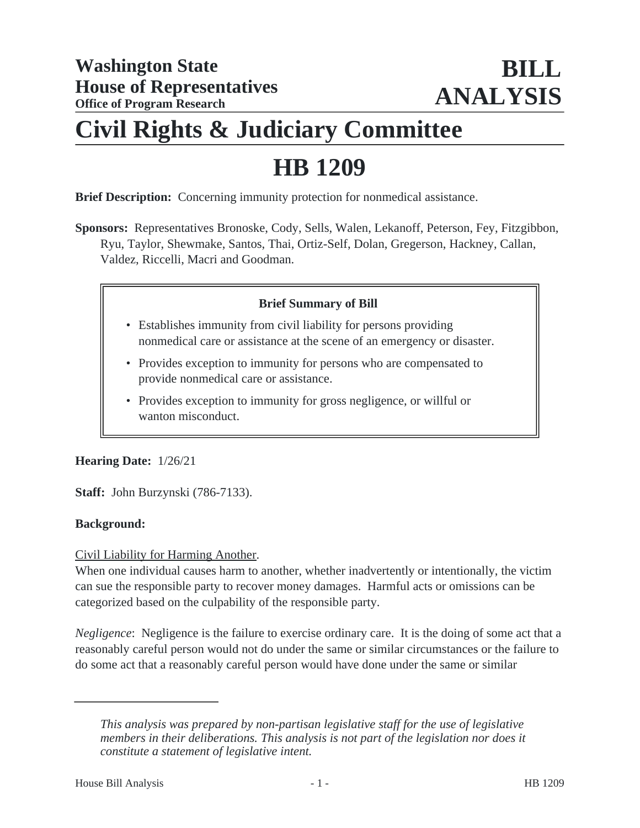# **Civil Rights & Judiciary Committee**

# **HB 1209**

**Brief Description:** Concerning immunity protection for nonmedical assistance.

**Sponsors:** Representatives Bronoske, Cody, Sells, Walen, Lekanoff, Peterson, Fey, Fitzgibbon, Ryu, Taylor, Shewmake, Santos, Thai, Ortiz-Self, Dolan, Gregerson, Hackney, Callan, Valdez, Riccelli, Macri and Goodman.

# **Brief Summary of Bill**

- Establishes immunity from civil liability for persons providing nonmedical care or assistance at the scene of an emergency or disaster.
- Provides exception to immunity for persons who are compensated to provide nonmedical care or assistance.
- Provides exception to immunity for gross negligence, or willful or wanton misconduct.

# **Hearing Date:** 1/26/21

**Staff:** John Burzynski (786-7133).

#### **Background:**

#### Civil Liability for Harming Another.

When one individual causes harm to another, whether inadvertently or intentionally, the victim can sue the responsible party to recover money damages. Harmful acts or omissions can be categorized based on the culpability of the responsible party.

*Negligence*: Negligence is the failure to exercise ordinary care. It is the doing of some act that a reasonably careful person would not do under the same or similar circumstances or the failure to do some act that a reasonably careful person would have done under the same or similar

*This analysis was prepared by non-partisan legislative staff for the use of legislative members in their deliberations. This analysis is not part of the legislation nor does it constitute a statement of legislative intent.*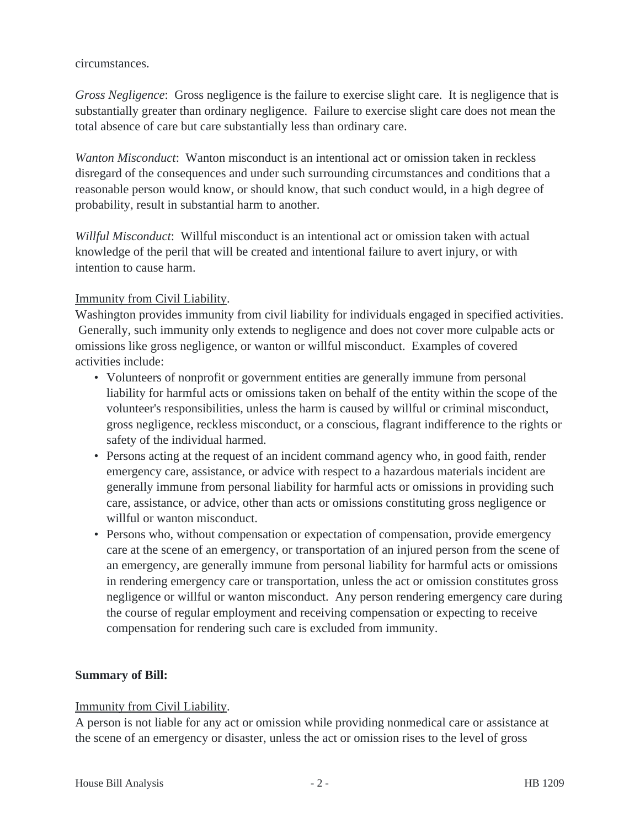#### circumstances.

*Gross Negligence*: Gross negligence is the failure to exercise slight care. It is negligence that is substantially greater than ordinary negligence. Failure to exercise slight care does not mean the total absence of care but care substantially less than ordinary care.

*Wanton Misconduct*: Wanton misconduct is an intentional act or omission taken in reckless disregard of the consequences and under such surrounding circumstances and conditions that a reasonable person would know, or should know, that such conduct would, in a high degree of probability, result in substantial harm to another.

*Willful Misconduct*: Willful misconduct is an intentional act or omission taken with actual knowledge of the peril that will be created and intentional failure to avert injury, or with intention to cause harm.

# Immunity from Civil Liability.

Washington provides immunity from civil liability for individuals engaged in specified activities. Generally, such immunity only extends to negligence and does not cover more culpable acts or omissions like gross negligence, or wanton or willful misconduct. Examples of covered activities include:

- Volunteers of nonprofit or government entities are generally immune from personal liability for harmful acts or omissions taken on behalf of the entity within the scope of the volunteer's responsibilities, unless the harm is caused by willful or criminal misconduct, gross negligence, reckless misconduct, or a conscious, flagrant indifference to the rights or safety of the individual harmed.
- Persons acting at the request of an incident command agency who, in good faith, render emergency care, assistance, or advice with respect to a hazardous materials incident are generally immune from personal liability for harmful acts or omissions in providing such care, assistance, or advice, other than acts or omissions constituting gross negligence or willful or wanton misconduct.
- Persons who, without compensation or expectation of compensation, provide emergency care at the scene of an emergency, or transportation of an injured person from the scene of an emergency, are generally immune from personal liability for harmful acts or omissions in rendering emergency care or transportation, unless the act or omission constitutes gross negligence or willful or wanton misconduct. Any person rendering emergency care during the course of regular employment and receiving compensation or expecting to receive compensation for rendering such care is excluded from immunity.

# **Summary of Bill:**

# Immunity from Civil Liability.

A person is not liable for any act or omission while providing nonmedical care or assistance at the scene of an emergency or disaster, unless the act or omission rises to the level of gross